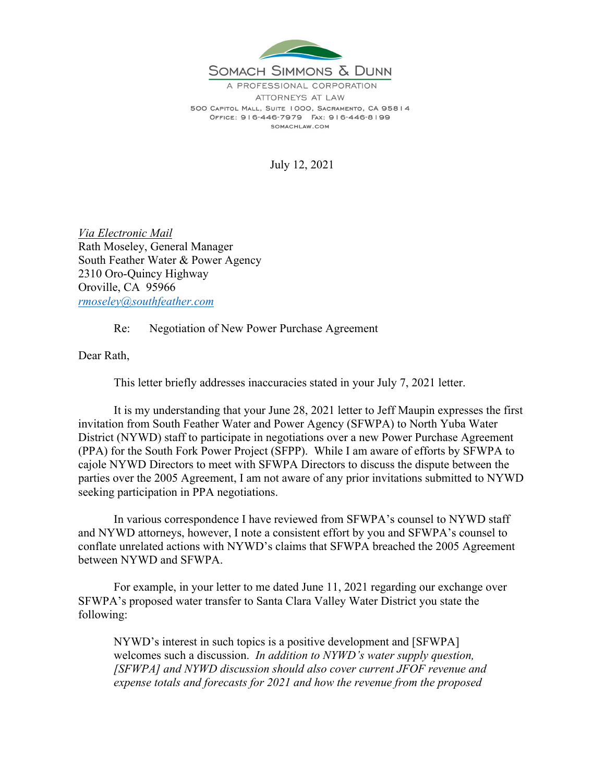

A PROFESSIONAL CORPORATION ATTORNEYS AT LAW 500 CAPITOL MALL, SUITE 1000, SACRAMENTO, CA 95814 OFFICE: 916-446-7979 FAX: 916-446-8199 SOMACHLAW.COM

July 12, 2021

*Via Electronic Mail*  Rath Moseley, General Manager South Feather Water & Power Agency 2310 Oro-Quincy Highway Oroville, CA 95966 *rmoseley@southfeather.com* 

Re: Negotiation of New Power Purchase Agreement

Dear Rath,

This letter briefly addresses inaccuracies stated in your July 7, 2021 letter.

It is my understanding that your June 28, 2021 letter to Jeff Maupin expresses the first invitation from South Feather Water and Power Agency (SFWPA) to North Yuba Water District (NYWD) staff to participate in negotiations over a new Power Purchase Agreement (PPA) for the South Fork Power Project (SFPP). While I am aware of efforts by SFWPA to cajole NYWD Directors to meet with SFWPA Directors to discuss the dispute between the parties over the 2005 Agreement, I am not aware of any prior invitations submitted to NYWD seeking participation in PPA negotiations.

In various correspondence I have reviewed from SFWPA's counsel to NYWD staff and NYWD attorneys, however, I note a consistent effort by you and SFWPA's counsel to conflate unrelated actions with NYWD's claims that SFWPA breached the 2005 Agreement between NYWD and SFWPA.

For example, in your letter to me dated June 11, 2021 regarding our exchange over SFWPA's proposed water transfer to Santa Clara Valley Water District you state the following:

NYWD's interest in such topics is a positive development and [SFWPA] welcomes such a discussion. *In addition to NYWD's water supply question, [SFWPA] and NYWD discussion should also cover current JFOF revenue and expense totals and forecasts for 2021 and how the revenue from the proposed*